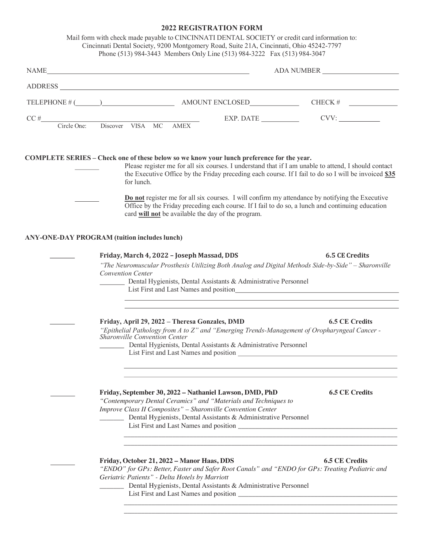## **2022 REGISTRATION FORM**

|                                                     | NAME<br>ADA NUMBER                                                                                                                                                                                                                                                                                        |                                                                                                                                           |  |
|-----------------------------------------------------|-----------------------------------------------------------------------------------------------------------------------------------------------------------------------------------------------------------------------------------------------------------------------------------------------------------|-------------------------------------------------------------------------------------------------------------------------------------------|--|
|                                                     | ADDRESS CONSERVATION CONTINUES AND ANNOUNCEMENT OF THE CONSERVATION OF THE CONSERVATION OF THE CONSERVATION OF THE CONSERVATION OF THE CONSERVATION OF THE CONSERVATION OF THE CONSERVATION OF THE CONSERVATION OF THE CONSERV                                                                            |                                                                                                                                           |  |
|                                                     |                                                                                                                                                                                                                                                                                                           |                                                                                                                                           |  |
|                                                     |                                                                                                                                                                                                                                                                                                           | EXP. DATE CVV:                                                                                                                            |  |
| CC #<br>Circle One: Discover VISA MC AMEX           |                                                                                                                                                                                                                                                                                                           |                                                                                                                                           |  |
| for lunch.                                          | COMPLETE SERIES - Check one of these below so we know your lunch preference for the year.<br>Please register me for all six courses. I understand that if I am unable to attend, I should contact<br>the Executive Office by the Friday preceding each course. If I fail to do so I will be invoiced \$35 |                                                                                                                                           |  |
|                                                     | Do not register me for all six courses. I will confirm my attendance by notifying the Executive<br>Office by the Friday preceding each course. If I fail to do so, a lunch and continuing education<br>card will not be available the day of the program.                                                 |                                                                                                                                           |  |
| <b>ANY-ONE-DAY PROGRAM (tuition includes lunch)</b> |                                                                                                                                                                                                                                                                                                           |                                                                                                                                           |  |
|                                                     | Friday, March 4, 2022 - Joseph Massad, DDS                                                                                                                                                                                                                                                                | 6.5 CE Credits                                                                                                                            |  |
| <b>Convention Center</b>                            | "The Neuromuscular Prosthesis Utilizing Both Analog and Digital Methods Side-by-Side" - Sharonville<br>Dental Hygienists, Dental Assistants & Administrative Personnel                                                                                                                                    |                                                                                                                                           |  |
|                                                     | <u> 1989 - Johann Stoff, deutscher Stoffen und der Stoffen und der Stoffen und der Stoffen und der Stoffen und der</u><br>Friday, April 29, 2022 - Theresa Gonzales, DMD                                                                                                                                  | <b>6.5 CE Credits</b>                                                                                                                     |  |
| Sharonville Convention Center                       | "Epithelial Pathology from A to Z" and "Emerging Trends-Management of Oropharyngeal Cancer -<br>Dental Hygienists, Dental Assistants & Administrative Personnel                                                                                                                                           |                                                                                                                                           |  |
|                                                     |                                                                                                                                                                                                                                                                                                           | and the control of the control of the control of the control of the control of the control of the control of the<br><b>6.5 CE Credits</b> |  |
|                                                     | Friday, September 30, 2022 - Nathaniel Lawson, DMD, PhD<br>"Contemporary Dental Ceramics" and "Materials and Techniques to<br>Improve Class II Composites" - Sharonville Convention Center<br>Dental Hygienists, Dental Assistants & Administrative Personnel                                             |                                                                                                                                           |  |
|                                                     | Friday, October 21, 2022 - Manor Haas, DDS<br>"ENDO" for GPs: Better, Faster and Safer Root Canals" and "ENDO for GPs: Treating Pediatric and<br>Geriatric Patients" - Delta Hotels by Marriott                                                                                                           | <b>6.5 CE Credits</b>                                                                                                                     |  |